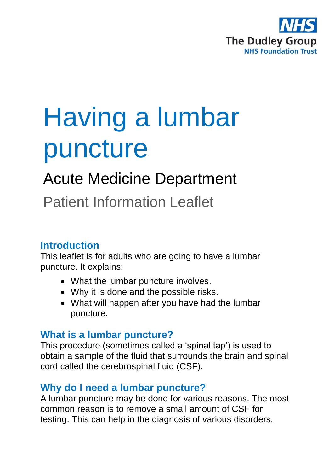

# Having a lumbar puncture

# Acute Medicine Department

Patient Information Leaflet

## **Introduction**

This leaflet is for adults who are going to have a lumbar puncture. It explains:

- What the lumbar puncture involves.
- Why it is done and the possible risks.
- What will happen after you have had the lumbar puncture.

#### **What is a lumbar puncture?**

This procedure (sometimes called a 'spinal tap') is used to obtain a sample of the fluid that surrounds the brain and spinal cord called the cerebrospinal fluid (CSF).

# **Why do I need a lumbar puncture?**

A lumbar puncture may be done for various reasons. The most common reason is to remove a small amount of CSF for testing. This can help in the diagnosis of various disorders.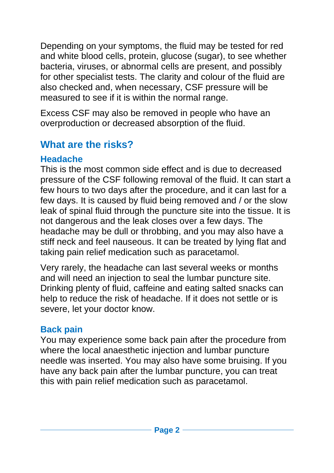Depending on your symptoms, the fluid may be tested for red and white blood cells, protein, glucose (sugar), to see whether bacteria, viruses, or abnormal cells are present, and possibly for other specialist tests. The clarity and colour of the fluid are also checked and, when necessary, CSF pressure will be measured to see if it is within the normal range.

Excess CSF may also be removed in people who have an overproduction or decreased absorption of the fluid.

# **What are the risks?**

#### **Headache**

This is the most common side effect and is due to decreased pressure of the CSF following removal of the fluid. It can start a few hours to two days after the procedure, and it can last for a few days. It is caused by fluid being removed and / or the slow leak of spinal fluid through the puncture site into the tissue. It is not dangerous and the leak closes over a few days. The headache may be dull or throbbing, and you may also have a stiff neck and feel nauseous. It can be treated by lying flat and taking pain relief medication such as paracetamol.

Very rarely, the headache can last several weeks or months and will need an injection to seal the lumbar puncture site. Drinking plenty of fluid, caffeine and eating salted snacks can help to reduce the risk of headache. If it does not settle or is severe, let your doctor know.

#### **Back pain**

You may experience some back pain after the procedure from where the local anaesthetic injection and lumbar puncture needle was inserted. You may also have some bruising. If you have any back pain after the lumbar puncture, you can treat this with pain relief medication such as paracetamol.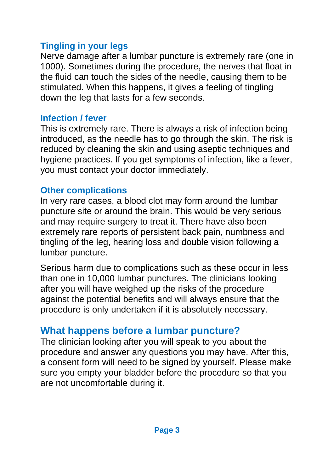#### **Tingling in your legs**

Nerve damage after a lumbar puncture is extremely rare (one in 1000). Sometimes during the procedure, the nerves that float in the fluid can touch the sides of the needle, causing them to be stimulated. When this happens, it gives a feeling of tingling down the leg that lasts for a few seconds.

#### **Infection / fever**

This is extremely rare. There is always a risk of infection being introduced, as the needle has to go through the skin. The risk is reduced by cleaning the skin and using aseptic techniques and hygiene practices. If you get symptoms of infection, like a fever, you must contact your doctor immediately.

#### **Other complications**

In very rare cases, a blood clot may form around the lumbar puncture site or around the brain. This would be very serious and may require surgery to treat it. There have also been extremely rare reports of persistent back pain, numbness and tingling of the leg, hearing loss and double vision following a lumbar puncture.

Serious harm due to complications such as these occur in less than one in 10,000 lumbar punctures. The clinicians looking after you will have weighed up the risks of the procedure against the potential benefits and will always ensure that the procedure is only undertaken if it is absolutely necessary.

# **What happens before a lumbar puncture?**

The clinician looking after you will speak to you about the procedure and answer any questions you may have. After this, a consent form will need to be signed by yourself. Please make sure you empty your bladder before the procedure so that you are not uncomfortable during it.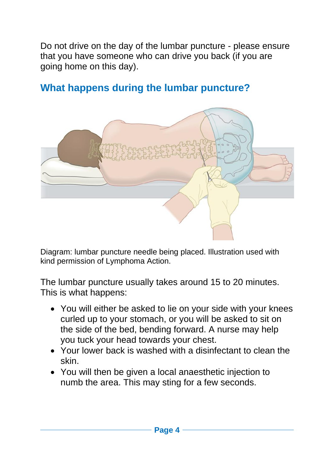Do not drive on the day of the lumbar puncture - please ensure that you have someone who can drive you back (if you are going home on this day).



# **What happens during the lumbar puncture?**

Diagram: lumbar puncture needle being placed. Illustration used with kind permission of Lymphoma Action.

The lumbar puncture usually takes around 15 to 20 minutes. This is what happens:

- You will either be asked to lie on your side with your knees curled up to your stomach, or you will be asked to sit on the side of the bed, bending forward. A nurse may help you tuck your head towards your chest.
- Your lower back is washed with a disinfectant to clean the skin.
- You will then be given a local anaesthetic injection to numb the area. This may sting for a few seconds.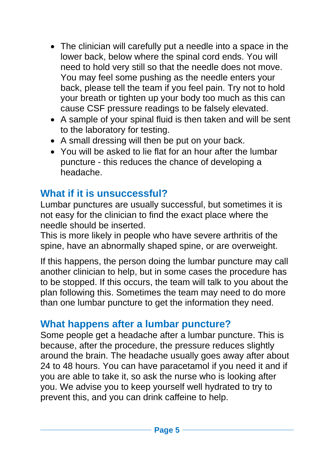- The clinician will carefully put a needle into a space in the lower back, below where the spinal cord ends. You will need to hold very still so that the needle does not move. You may feel some pushing as the needle enters your back, please tell the team if you feel pain. Try not to hold your breath or tighten up your body too much as this can cause CSF pressure readings to be falsely elevated.
- A sample of your spinal fluid is then taken and will be sent to the laboratory for testing.
- A small dressing will then be put on your back.
- You will be asked to lie flat for an hour after the lumbar puncture - this reduces the chance of developing a headache.

# **What if it is unsuccessful?**

Lumbar punctures are usually successful, but sometimes it is not easy for the clinician to find the exact place where the needle should be inserted.

This is more likely in people who have severe arthritis of the spine, have an abnormally shaped spine, or are overweight.

If this happens, the person doing the lumbar puncture may call another clinician to help, but in some cases the procedure has to be stopped. If this occurs, the team will talk to you about the plan following this. Sometimes the team may need to do more than one lumbar puncture to get the information they need.

## **What happens after a lumbar puncture?**

Some people get a headache after a lumbar puncture. This is because, after the procedure, the pressure reduces slightly around the brain. The headache usually goes away after about 24 to 48 hours. You can have paracetamol if you need it and if you are able to take it, so ask the nurse who is looking after you. We advise you to keep yourself well hydrated to try to prevent this, and you can drink caffeine to help.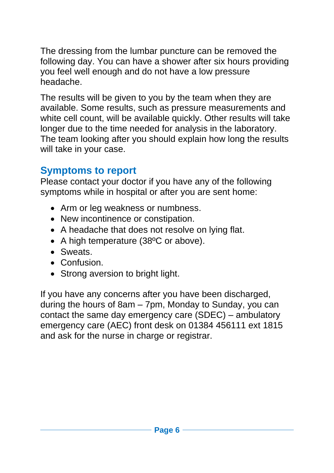The dressing from the lumbar puncture can be removed the following day. You can have a shower after six hours providing you feel well enough and do not have a low pressure headache.

The results will be given to you by the team when they are available. Some results, such as pressure measurements and white cell count, will be available quickly. Other results will take longer due to the time needed for analysis in the laboratory. The team looking after you should explain how long the results will take in your case.

# **Symptoms to report**

Please contact your doctor if you have any of the following symptoms while in hospital or after you are sent home:

- Arm or leg weakness or numbness.
- New incontinence or constipation.
- A headache that does not resolve on lying flat.
- A high temperature (38°C or above).
- Sweats.
- Confusion.
- Strong aversion to bright light.

If you have any concerns after you have been discharged, during the hours of 8am – 7pm, Monday to Sunday, you can contact the same day emergency care (SDEC) – ambulatory emergency care (AEC) front desk on 01384 456111 ext 1815 and ask for the nurse in charge or registrar.